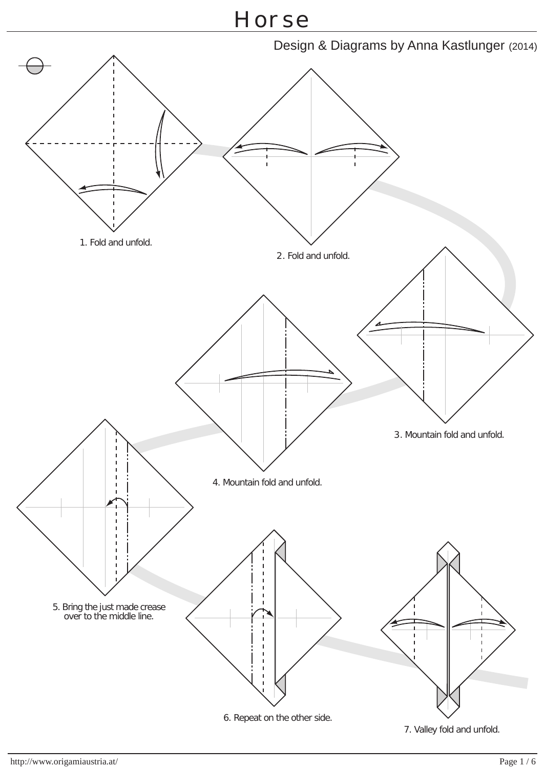

7. Valley fold and unfold.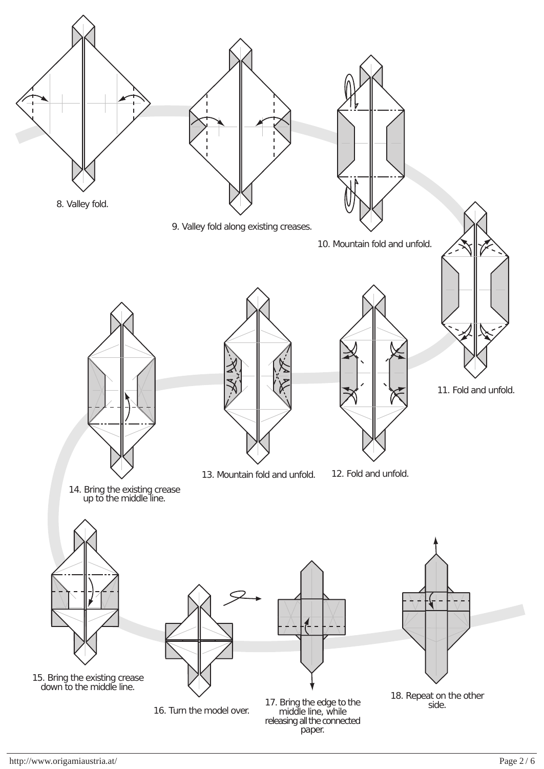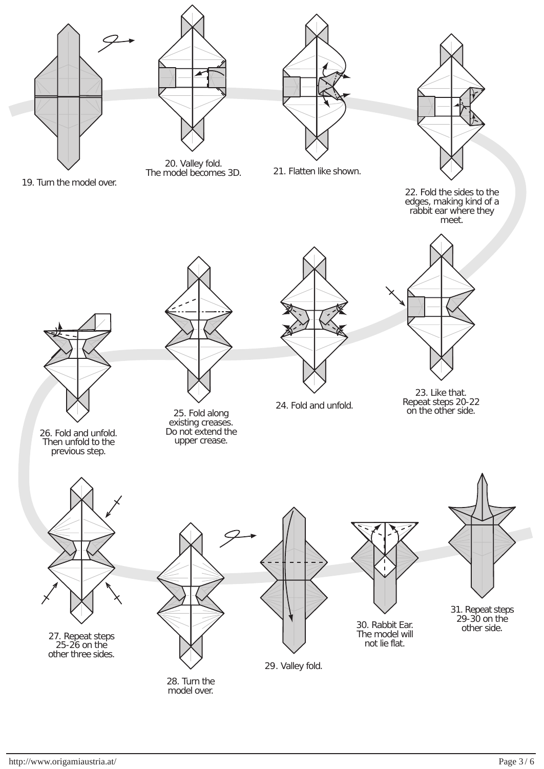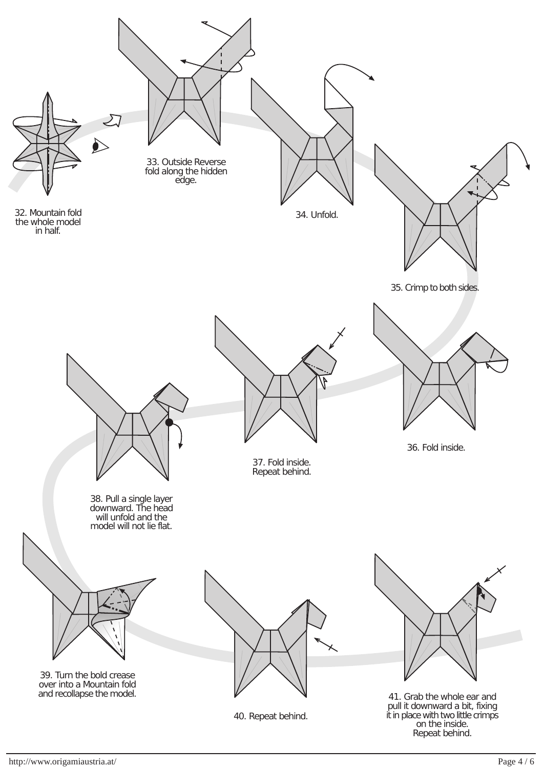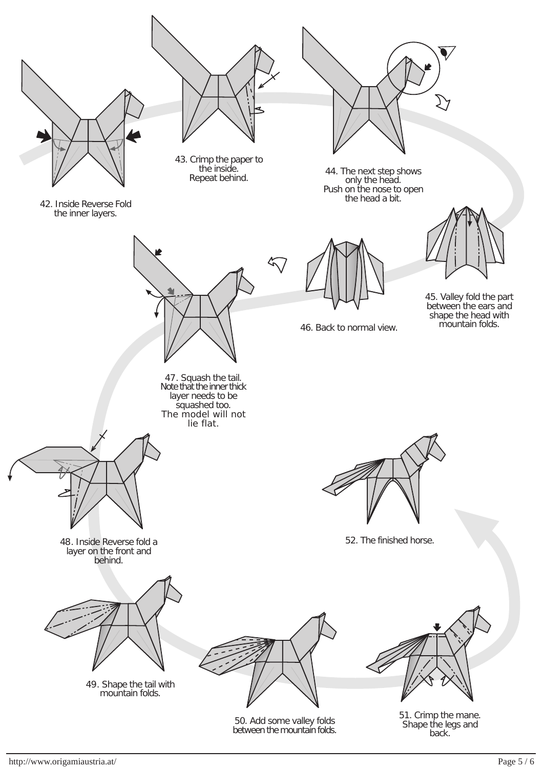